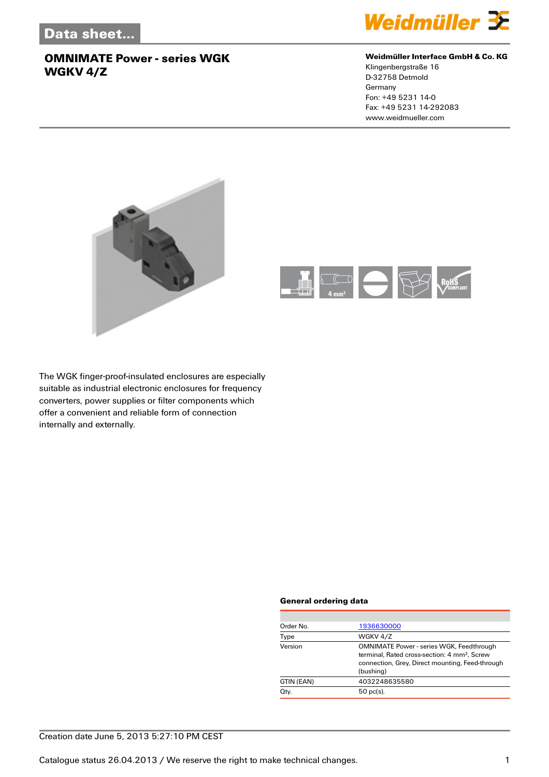

#### **Weidmüller Interface GmbH & Co. KG**

Klingenbergstraße 16 D-32758 Detmold Germany Fon: +49 5231 14-0 Fax: +49 5231 14-292083 www.weidmueller.com





The WGK finger-proof-insulated enclosures are especially suitable as industrial electronic enclosures for frequency converters, power supplies or filter components which offer a convenient and reliable form of connection internally and externally.

#### **General ordering data**

| Order No.  | 1936630000                                                                                                                                                                  |
|------------|-----------------------------------------------------------------------------------------------------------------------------------------------------------------------------|
| Type       | WGKV 4/Z                                                                                                                                                                    |
| Version    | <b>OMNIMATE Power - series WGK, Feedthrough</b><br>terminal. Rated cross-section: 4 mm <sup>2</sup> . Screw<br>connection, Grey, Direct mounting, Feed-through<br>(bushing) |
| GTIN (EAN) | 4032248635580                                                                                                                                                               |
| Qty.       | $50$ pc(s).                                                                                                                                                                 |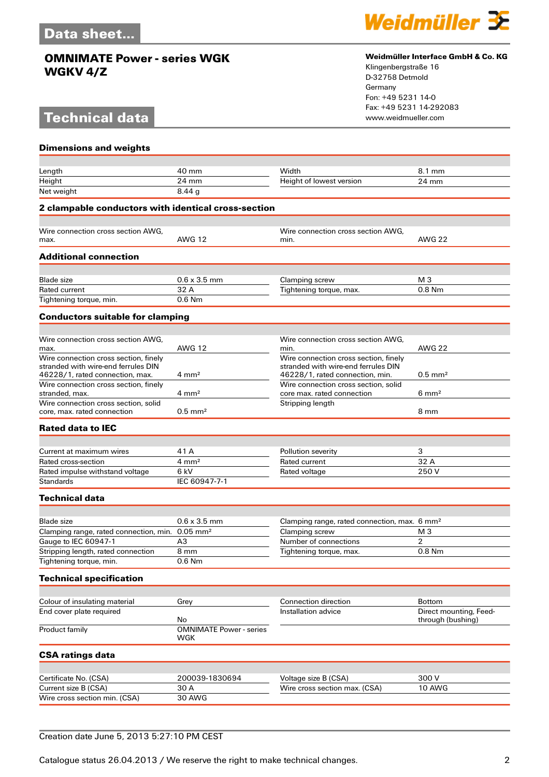# **Technical data**



#### **Weidmüller Interface GmbH & Co. KG**

Klingenbergstraße 16 D-32758 Detmold Germany Fon: +49 5231 14-0 Fax: +49 5231 14-292083

| <b>Dimensions and weights</b>                                                       |                                       |                                                                              |                        |
|-------------------------------------------------------------------------------------|---------------------------------------|------------------------------------------------------------------------------|------------------------|
|                                                                                     |                                       |                                                                              |                        |
| Length                                                                              | 40 mm                                 | Width                                                                        | 8.1 mm                 |
| Height                                                                              | 24 mm<br>8.44 <sub>a</sub>            | Height of lowest version                                                     | 24 mm                  |
| Net weight                                                                          |                                       |                                                                              |                        |
| 2 clampable conductors with identical cross-section                                 |                                       |                                                                              |                        |
| Wire connection cross section AWG,                                                  |                                       | Wire connection cross section AWG,                                           |                        |
| max.                                                                                | <b>AWG 12</b>                         | min.                                                                         | <b>AWG 22</b>          |
| <b>Additional connection</b>                                                        |                                       |                                                                              |                        |
| <b>Blade</b> size                                                                   | $0.6 \times 3.5$ mm                   | Clamping screw                                                               | M <sub>3</sub>         |
| Rated current                                                                       | 32 A                                  | Tightening torque, max.                                                      | $0.8$ Nm               |
| Tightening torque, min.                                                             | $0.6$ Nm                              |                                                                              |                        |
| <b>Conductors suitable for clamping</b>                                             |                                       |                                                                              |                        |
|                                                                                     |                                       |                                                                              |                        |
| Wire connection cross section AWG.                                                  |                                       | Wire connection cross section AWG.                                           |                        |
| max.                                                                                | <b>AWG 12</b>                         | min.                                                                         | <b>AWG 22</b>          |
| Wire connection cross section, finely<br>stranded with wire-end ferrules DIN        |                                       | Wire connection cross section, finely<br>stranded with wire-end ferrules DIN |                        |
| 46228/1, rated connection, max.                                                     | $4 \text{ mm}^2$                      | 46228/1, rated connection, min.                                              | $0.5$ mm <sup>2</sup>  |
| Wire connection cross section, finely<br>stranded, max.                             | $4 \text{ mm}^2$                      | Wire connection cross section, solid<br>core max. rated connection           | $6 \text{ mm}^2$       |
| Wire connection cross section, solid                                                |                                       | Stripping length                                                             |                        |
| core, max, rated connection                                                         | $0.5$ mm <sup>2</sup>                 |                                                                              | 8 mm                   |
| <b>Rated data to IEC</b>                                                            |                                       |                                                                              |                        |
|                                                                                     |                                       |                                                                              |                        |
| Current at maximum wires                                                            | 41 A                                  | Pollution severity                                                           | 3                      |
| Rated cross-section                                                                 | $4 \text{ mm}^2$                      | Rated current                                                                | 32 A                   |
| Rated impulse withstand voltage                                                     | 6 kV                                  | Rated voltage                                                                | 250V                   |
| <b>Standards</b>                                                                    | IEC 60947-7-1                         |                                                                              |                        |
| <b>Technical data</b>                                                               |                                       |                                                                              |                        |
|                                                                                     |                                       |                                                                              |                        |
| <b>Blade</b> size                                                                   | $0.6 \times 3.5$ mm                   | Clamping range, rated connection, max. 6 mm <sup>2</sup>                     |                        |
| Clamping range, rated connection, min. 0.05 mm <sup>2</sup><br>Gauge to IEC 60947-1 | A <sub>3</sub>                        | Clamping screw<br>Number of connections                                      | M <sub>3</sub><br>2    |
| Stripping length, rated connection                                                  | 8 mm                                  | Tightening torque, max.                                                      | $0.8$ Nm               |
| Tightening torque, min.                                                             | 0.6 Nm                                |                                                                              |                        |
| <b>Technical specification</b>                                                      |                                       |                                                                              |                        |
|                                                                                     |                                       |                                                                              |                        |
| Colour of insulating material                                                       | Grey                                  | Connection direction                                                         | <b>Bottom</b>          |
| End cover plate required                                                            |                                       | Installation advice                                                          | Direct mounting, Feed- |
|                                                                                     | No                                    |                                                                              | through (bushing)      |
| Product family                                                                      | <b>OMNIMATE Power - series</b><br>WGK |                                                                              |                        |
| <b>CSA ratings data</b>                                                             |                                       |                                                                              |                        |
| Certificate No. (CSA)                                                               | 200039-1830694                        |                                                                              | 300V                   |
| Current size B (CSA)                                                                | 30 A                                  | Voltage size B (CSA)<br>Wire cross section max. (CSA)                        | 10 AWG                 |
| Wire cross section min. (CSA)                                                       | <b>30 AWG</b>                         |                                                                              |                        |
|                                                                                     |                                       |                                                                              |                        |

### Creation date June 5, 2013 5:27:10 PM CEST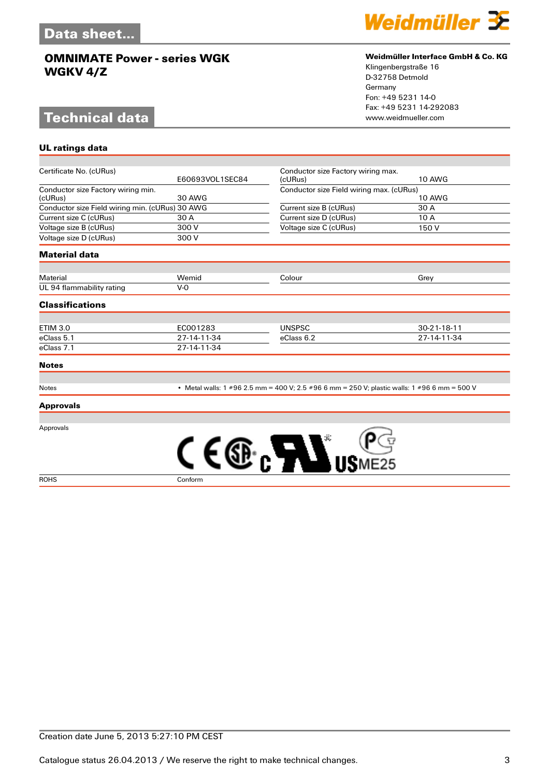# **Technical data**

**UL ratings data**



#### **Weidmüller Interface GmbH & Co. KG**

Klingenbergstraße 16 D-32758 Detmold Germany Fon: +49 5231 14-0 Fax: +49 5231 14-292083

| Certificate No. (cURus)                         |                 | Conductor size Factory wiring max.                                                           |               |
|-------------------------------------------------|-----------------|----------------------------------------------------------------------------------------------|---------------|
|                                                 | E60693VOL1SEC84 | (cURus)                                                                                      | <b>10 AWG</b> |
| Conductor size Factory wiring min.              |                 | Conductor size Field wiring max. (cURus)                                                     |               |
| (cURus)                                         | <b>30 AWG</b>   |                                                                                              | <b>10 AWG</b> |
| Conductor size Field wiring min. (cURus) 30 AWG |                 | Current size B (cURus)                                                                       | 30 A          |
| Current size C (cURus)                          | 30 A            | Current size D (cURus)                                                                       | 10 A          |
| Voltage size B (cURus)                          | 300 V           | Voltage size C (cURus)                                                                       | 150 V         |
| Voltage size D (cURus)                          | 300 V           |                                                                                              |               |
| <b>Material data</b>                            |                 |                                                                                              |               |
| Material                                        | Wemid           | Colour                                                                                       | Grey          |
| UL 94 flammability rating                       | $V-0$           |                                                                                              |               |
|                                                 |                 |                                                                                              |               |
| <b>Classifications</b>                          |                 |                                                                                              |               |
| <b>ETIM 3.0</b>                                 | EC001283        | <b>UNSPSC</b>                                                                                | 30-21-18-11   |
| eClass 5.1                                      | 27-14-11-34     | eClass 6.2                                                                                   | 27-14-11-34   |
| eClass 7.1                                      | 27-14-11-34     |                                                                                              |               |
| <b>Notes</b>                                    |                 |                                                                                              |               |
| Notes                                           |                 | • Metal walls: 1 #96 2.5 mm = 400 V; 2.5 #96 6 mm = 250 V; plastic walls: 1 #96 6 mm = 500 V |               |
| <b>Approvals</b>                                |                 |                                                                                              |               |
| Approvals                                       |                 |                                                                                              |               |
|                                                 |                 | <i>LI</i> V.                                                                                 |               |
| <b>ROHS</b>                                     | Conform         |                                                                                              |               |